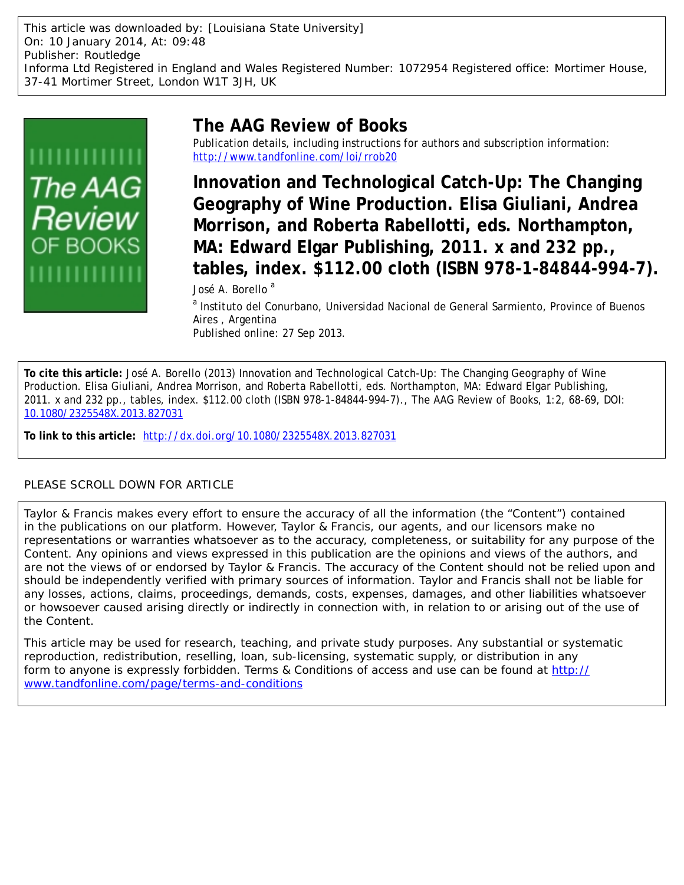This article was downloaded by: [Louisiana State University] On: 10 January 2014, At: 09:48 Publisher: Routledge Informa Ltd Registered in England and Wales Registered Number: 1072954 Registered office: Mortimer House, 37-41 Mortimer Street, London W1T 3JH, UK



## **The AAG Review of Books**

Publication details, including instructions for authors and subscription information: <http://www.tandfonline.com/loi/rrob20>

**Innovation and Technological Catch-Up: The Changing Geography of Wine Production. Elisa Giuliani, Andrea Morrison, and Roberta Rabellotti, eds. Northampton, MA: Edward Elgar Publishing, 2011. x and 232 pp., tables, index. \$112.00 cloth (ISBN 978-1-84844-994-7).**

José A. Borello<sup>a</sup>

<sup>a</sup> Instituto del Conurbano, Universidad Nacional de General Sarmiento, Province of Buenos Aires , Argentina Published online: 27 Sep 2013.

**To cite this article:** José A. Borello (2013) Innovation and Technological Catch-Up: The Changing Geography of Wine Production. Elisa Giuliani, Andrea Morrison, and Roberta Rabellotti, eds. Northampton, MA: Edward Elgar Publishing, 2011. x and 232 pp., tables, index. \$112.00 cloth (ISBN 978-1-84844-994-7)., The AAG Review of Books, 1:2, 68-69, DOI: [10.1080/2325548X.2013.827031](http://www.tandfonline.com/action/showCitFormats?doi=10.1080/2325548X.2013.827031)

**To link to this article:** <http://dx.doi.org/10.1080/2325548X.2013.827031>

## PLEASE SCROLL DOWN FOR ARTICLE

Taylor & Francis makes every effort to ensure the accuracy of all the information (the "Content") contained in the publications on our platform. However, Taylor & Francis, our agents, and our licensors make no representations or warranties whatsoever as to the accuracy, completeness, or suitability for any purpose of the Content. Any opinions and views expressed in this publication are the opinions and views of the authors, and are not the views of or endorsed by Taylor & Francis. The accuracy of the Content should not be relied upon and should be independently verified with primary sources of information. Taylor and Francis shall not be liable for any losses, actions, claims, proceedings, demands, costs, expenses, damages, and other liabilities whatsoever or howsoever caused arising directly or indirectly in connection with, in relation to or arising out of the use of the Content.

This article may be used for research, teaching, and private study purposes. Any substantial or systematic reproduction, redistribution, reselling, loan, sub-licensing, systematic supply, or distribution in any form to anyone is expressly forbidden. Terms & Conditions of access and use can be found at [http://](http://www.tandfonline.com/page/terms-and-conditions) [www.tandfonline.com/page/terms-and-conditions](http://www.tandfonline.com/page/terms-and-conditions)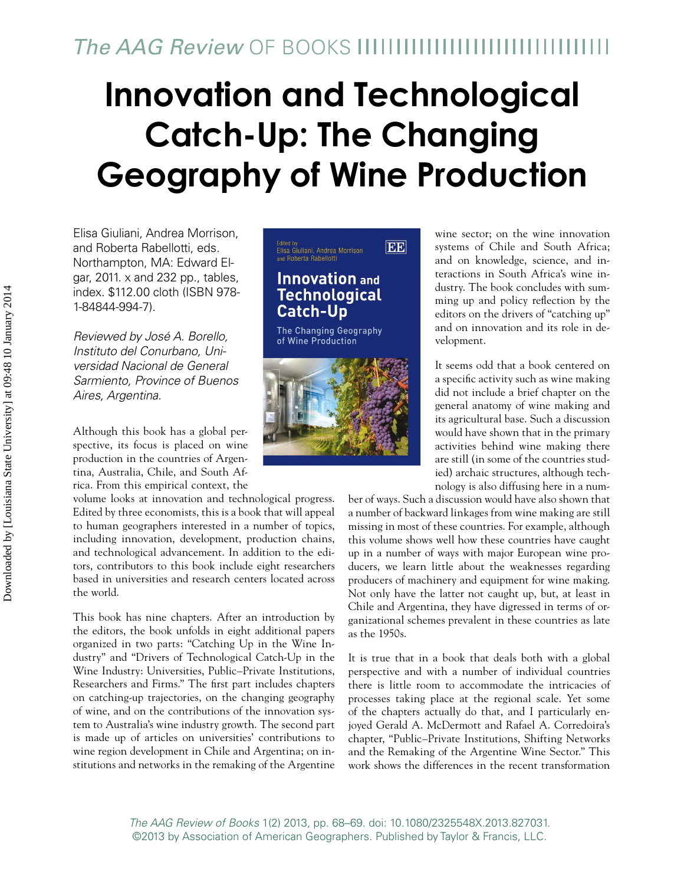## **Innovation and Technological Catch-Up: The Changing Geography of Wine Production**

Elisa Giuliani, Andrea Morrison, and Roberta Rabellotti, eds. Northampton, MA: Edward Elgar, 2011. x and 232 pp., tables, index. \$112.00 cloth (ISBN 978- 1-84844-994-7).

*Reviewed by José A. Borello, Instituto del Conurbano, Universidad Nacional de General Sarmiento, Province of Buenos Aires, Argentina.*

Although this book has a global perspective, its focus is placed on wine production in the countries of Argentina, Australia, Chile, and South Africa. From this empirical context, the

volume looks at innovation and technological progress. Edited by three economists, this is a book that will appeal to human geographers interested in a number of topics, including innovation, development, production chains, and technological advancement. In addition to the editors, contributors to this book include eight researchers based in universities and research centers located across the world.

This book has nine chapters. After an introduction by the editors, the book unfolds in eight additional papers organized in two parts: "Catching Up in the Wine Industry" and "Drivers of Technological Catch-Up in the Wine Industry: Universities, Public–Private Institutions, Researchers and Firms." The first part includes chapters on catching-up trajectories, on the changing geography of wine, and on the contributions of the innovation system to Australia's wine industry growth. The second part is made up of articles on universities' contributions to wine region development in Chile and Argentina; on institutions and networks in the remaking of the Argentine



wine sector; on the wine innovation systems of Chile and South Africa; and on knowledge, science, and interactions in South Africa's wine industry. The book concludes with summing up and policy reflection by the editors on the drivers of "catching up" and on innovation and its role in development.

It seems odd that a book centered on a specific activity such as wine making did not include a brief chapter on the general anatomy of wine making and its agricultural base. Such a discussion would have shown that in the primary activities behind wine making there are still (in some of the countries studied) archaic structures, although technology is also diffusing here in a num-

ber of ways. Such a discussion would have also shown that a number of backward linkages from wine making are still missing in most of these countries. For example, although this volume shows well how these countries have caught up in a number of ways with major European wine producers, we learn little about the weaknesses regarding producers of machinery and equipment for wine making. Not only have the latter not caught up, but, at least in Chile and Argentina, they have digressed in terms of organizational schemes prevalent in these countries as late as the 1950s.

It is true that in a book that deals both with a global perspective and with a number of individual countries there is little room to accommodate the intricacies of processes taking place at the regional scale. Yet some of the chapters actually do that, and I particularly enjoyed Gerald A. McDermott and Rafael A. Corredoira's chapter, "Public–Private Institutions, Shifting Networks and the Remaking of the Argentine Wine Sector." This work shows the differences in the recent transformation

*The AAG Review of Books* 1(2) 2013, pp. 68–69. doi: 10.1080/2325548X.2013.827031. ©2013 by Association of American Geographers. Published by Taylor & Francis, LLC.